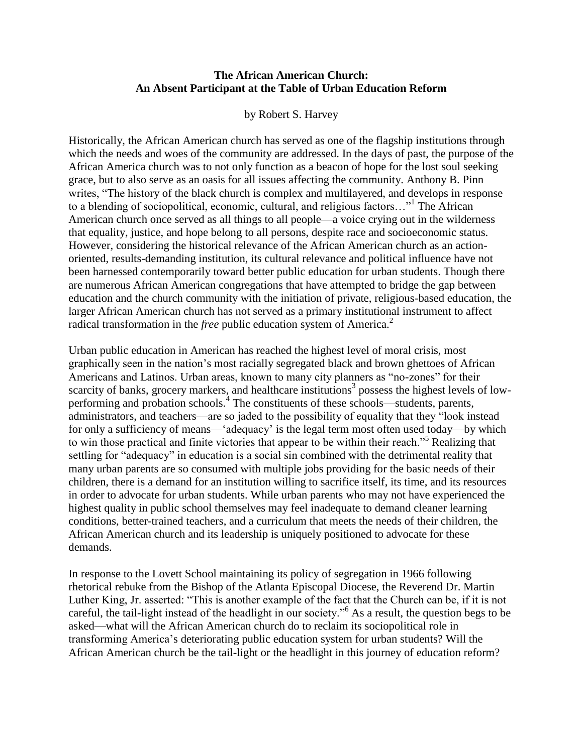## **The African American Church: An Absent Participant at the Table of Urban Education Reform**

## by Robert S. Harvey

Historically, the African American church has served as one of the flagship institutions through which the needs and woes of the community are addressed. In the days of past, the purpose of the African America church was to not only function as a beacon of hope for the lost soul seeking grace, but to also serve as an oasis for all issues affecting the community. Anthony B. Pinn writes, "The history of the black church is complex and multilayered, and develops in response to a blending of sociopolitical, economic, cultural, and religious factors..."<sup>1</sup> The African American church once served as all things to all people—a voice crying out in the wilderness that equality, justice, and hope belong to all persons, despite race and socioeconomic status. However, considering the historical relevance of the African American church as an actionoriented, results-demanding institution, its cultural relevance and political influence have not been harnessed contemporarily toward better public education for urban students. Though there are numerous African American congregations that have attempted to bridge the gap between education and the church community with the initiation of private, religious-based education, the larger African American church has not served as a primary institutional instrument to affect radical transformation in the *free* public education system of America.<sup>2</sup>

Urban public education in American has reached the highest level of moral crisis, most graphically seen in the nation"s most racially segregated black and brown ghettoes of African Americans and Latinos. Urban areas, known to many city planners as "no-zones" for their scarcity of banks, grocery markers, and healthcare institutions<sup>3</sup> possess the highest levels of lowperforming and probation schools.<sup>4</sup> The constituents of these schools—students, parents, administrators, and teachers—are so jaded to the possibility of equality that they "look instead for only a sufficiency of means—"adequacy" is the legal term most often used today—by which to win those practical and finite victories that appear to be within their reach."<sup>5</sup> Realizing that settling for "adequacy" in education is a social sin combined with the detrimental reality that many urban parents are so consumed with multiple jobs providing for the basic needs of their children, there is a demand for an institution willing to sacrifice itself, its time, and its resources in order to advocate for urban students. While urban parents who may not have experienced the highest quality in public school themselves may feel inadequate to demand cleaner learning conditions, better-trained teachers, and a curriculum that meets the needs of their children, the African American church and its leadership is uniquely positioned to advocate for these demands.

In response to the Lovett School maintaining its policy of segregation in 1966 following rhetorical rebuke from the Bishop of the Atlanta Episcopal Diocese, the Reverend Dr. Martin Luther King, Jr. asserted: "This is another example of the fact that the Church can be, if it is not careful, the tail-light instead of the headlight in our society."<sup>6</sup> As a result, the question begs to be asked—what will the African American church do to reclaim its sociopolitical role in transforming America"s deteriorating public education system for urban students? Will the African American church be the tail-light or the headlight in this journey of education reform?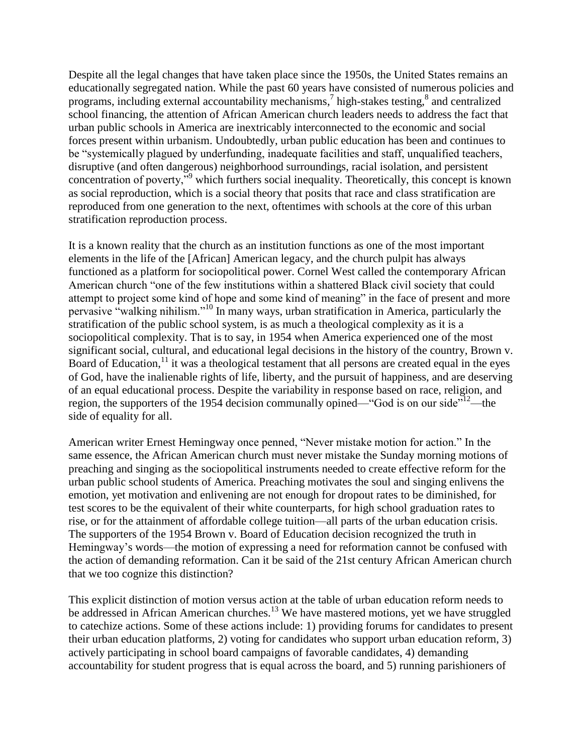Despite all the legal changes that have taken place since the 1950s, the United States remains an educationally segregated nation. While the past 60 years have consisted of numerous policies and programs, including external accountability mechanisms,<sup>7</sup> high-stakes testing,<sup>8</sup> and centralized school financing, the attention of African American church leaders needs to address the fact that urban public schools in America are inextricably interconnected to the economic and social forces present within urbanism. Undoubtedly, urban public education has been and continues to be "systemically plagued by underfunding, inadequate facilities and staff, unqualified teachers, disruptive (and often dangerous) neighborhood surroundings, racial isolation, and persistent concentration of poverty,"<sup>9</sup> which furthers social inequality. Theoretically, this concept is known as social reproduction, which is a social theory that posits that race and class stratification are reproduced from one generation to the next, oftentimes with schools at the core of this urban stratification reproduction process.

It is a known reality that the church as an institution functions as one of the most important elements in the life of the [African] American legacy, and the church pulpit has always functioned as a platform for sociopolitical power. Cornel West called the contemporary African American church "one of the few institutions within a shattered Black civil society that could attempt to project some kind of hope and some kind of meaning" in the face of present and more pervasive "walking nihilism."<sup>10</sup> In many ways, urban stratification in America, particularly the stratification of the public school system, is as much a theological complexity as it is a sociopolitical complexity. That is to say, in 1954 when America experienced one of the most significant social, cultural, and educational legal decisions in the history of the country, Brown v. Board of Education,<sup>11</sup> it was a theological testament that all persons are created equal in the eyes of God, have the inalienable rights of life, liberty, and the pursuit of happiness, and are deserving of an equal educational process. Despite the variability in response based on race, religion, and region, the supporters of the 1954 decision communally opined—"God is on our side"<sup>12</sup>—the side of equality for all.

American writer Ernest Hemingway once penned, "Never mistake motion for action." In the same essence, the African American church must never mistake the Sunday morning motions of preaching and singing as the sociopolitical instruments needed to create effective reform for the urban public school students of America. Preaching motivates the soul and singing enlivens the emotion, yet motivation and enlivening are not enough for dropout rates to be diminished, for test scores to be the equivalent of their white counterparts, for high school graduation rates to rise, or for the attainment of affordable college tuition—all parts of the urban education crisis. The supporters of the 1954 Brown v. Board of Education decision recognized the truth in Hemingway"s words—the motion of expressing a need for reformation cannot be confused with the action of demanding reformation. Can it be said of the 21st century African American church that we too cognize this distinction?

This explicit distinction of motion versus action at the table of urban education reform needs to be addressed in African American churches.<sup>13</sup> We have mastered motions, yet we have struggled to catechize actions. Some of these actions include: 1) providing forums for candidates to present their urban education platforms, 2) voting for candidates who support urban education reform, 3) actively participating in school board campaigns of favorable candidates, 4) demanding accountability for student progress that is equal across the board, and 5) running parishioners of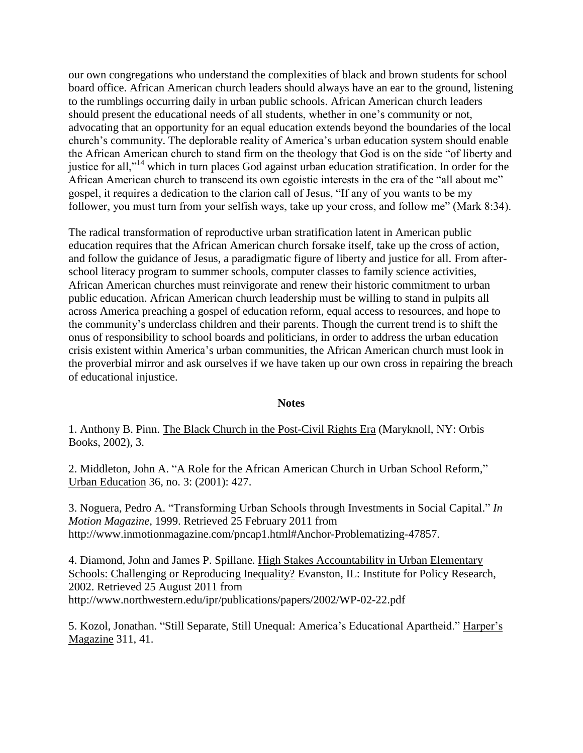our own congregations who understand the complexities of black and brown students for school board office. African American church leaders should always have an ear to the ground, listening to the rumblings occurring daily in urban public schools. African American church leaders should present the educational needs of all students, whether in one"s community or not, advocating that an opportunity for an equal education extends beyond the boundaries of the local church"s community. The deplorable reality of America"s urban education system should enable the African American church to stand firm on the theology that God is on the side "of liberty and justice for all,"<sup>14</sup> which in turn places God against urban education stratification. In order for the African American church to transcend its own egoistic interests in the era of the "all about me" gospel, it requires a dedication to the clarion call of Jesus, "If any of you wants to be my follower, you must turn from your selfish ways, take up your cross, and follow me" (Mark 8:34).

The radical transformation of reproductive urban stratification latent in American public education requires that the African American church forsake itself, take up the cross of action, and follow the guidance of Jesus, a paradigmatic figure of liberty and justice for all. From afterschool literacy program to summer schools, computer classes to family science activities, African American churches must reinvigorate and renew their historic commitment to urban public education. African American church leadership must be willing to stand in pulpits all across America preaching a gospel of education reform, equal access to resources, and hope to the community"s underclass children and their parents. Though the current trend is to shift the onus of responsibility to school boards and politicians, in order to address the urban education crisis existent within America"s urban communities, the African American church must look in the proverbial mirror and ask ourselves if we have taken up our own cross in repairing the breach of educational injustice.

## **Notes**

1. Anthony B. Pinn. The Black Church in the Post-Civil Rights Era (Maryknoll, NY: Orbis Books, 2002), 3.

2. Middleton, John A. "A Role for the African American Church in Urban School Reform," Urban Education 36, no. 3: (2001): 427.

3. Noguera, Pedro A. "Transforming Urban Schools through Investments in Social Capital." *In Motion Magazine,* 1999. Retrieved 25 February 2011 from http://www.inmotionmagazine.com/pncap1.html#Anchor-Problematizing-47857.

4. Diamond, John and James P. Spillane. High Stakes Accountability in Urban Elementary Schools: Challenging or Reproducing Inequality? Evanston, IL: Institute for Policy Research, 2002. Retrieved 25 August 2011 from http://www.northwestern.edu/ipr/publications/papers/2002/WP-02-22.pdf

5. Kozol, Jonathan. "Still Separate, Still Unequal: America"s Educational Apartheid." Harper"s Magazine 311, 41.